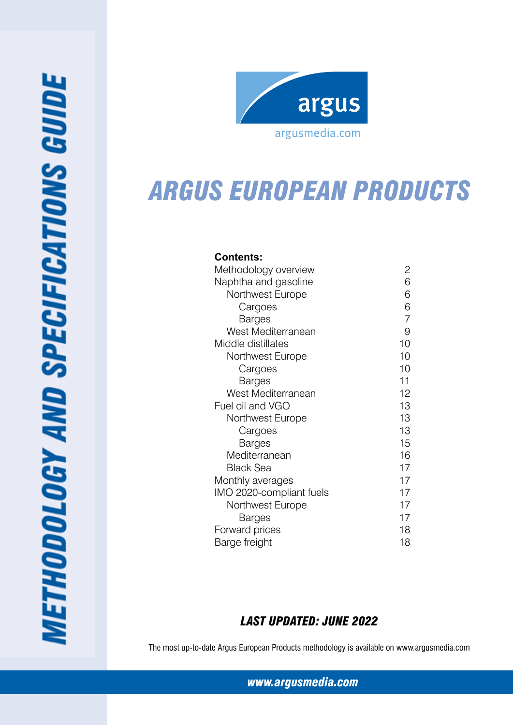

# *ARGUS European Products*

| <b>Contents:</b>         |                |
|--------------------------|----------------|
| Methodology overview     | 2              |
| Naphtha and gasoline     | 6              |
| Northwest Europe         | 6              |
| Cargoes                  | 6              |
| Barges                   | $\overline{7}$ |
| West Mediterranean       | 9              |
| Middle distillates       | 10             |
| Northwest Europe         | 10             |
| Cargoes                  | 10             |
| Barges                   | 11             |
| West Mediterranean       | 12             |
| Fuel oil and VGO         | 13             |
| Northwest Europe         | 13             |
| Cargoes                  | 13             |
| Barges                   | 15             |
| Mediterranean            | 16             |
| <b>Black Sea</b>         | 17             |
| Monthly averages         | 17             |
| IMO 2020-compliant fuels | 17             |
| Northwest Europe         | 17             |
| Barges                   | 17             |
| Forward prices           | 18             |
| Barge freight            | 18             |

# *Last Updated: June 2022*

The most up-to-date Argus European Products methodology is available on www.argusmedia.com

*[www.argusmedia.com](http://www.argusmediagroup.com)*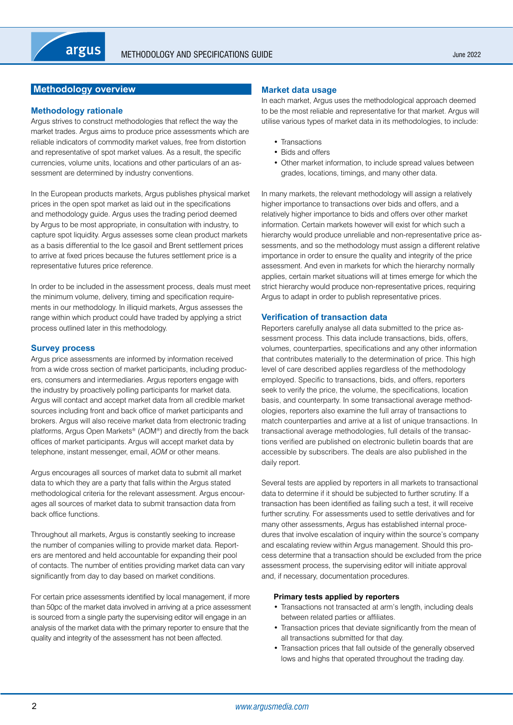# <span id="page-1-0"></span>**Methodology overview**

## **Methodology rationale**

Argus strives to construct methodologies that reflect the way the market trades. Argus aims to produce price assessments which are reliable indicators of commodity market values, free from distortion and representative of spot market values. As a result, the specific currencies, volume units, locations and other particulars of an assessment are determined by industry conventions.

In the European products markets, Argus publishes physical market prices in the open spot market as laid out in the specifications and methodology guide. Argus uses the trading period deemed by Argus to be most appropriate, in consultation with industry, to capture spot liquidity. Argus assesses some clean product markets as a basis differential to the Ice gasoil and Brent settlement prices to arrive at fixed prices because the futures settlement price is a representative futures price reference.

In order to be included in the assessment process, deals must meet the minimum volume, delivery, timing and specification requirements in our methodology. In illiquid markets, Argus assesses the range within which product could have traded by applying a strict process outlined later in this methodology.

## **Survey process**

Argus price assessments are informed by information received from a wide cross section of market participants, including producers, consumers and intermediaries. Argus reporters engage with the industry by proactively polling participants for market data. Argus will contact and accept market data from all credible market sources including front and back office of market participants and brokers. Argus will also receive market data from electronic trading platforms, Argus Open Markets® (AOM®) and directly from the back offices of market participants. Argus will accept market data by telephone, instant messenger, email, *AOM* or other means.

Argus encourages all sources of market data to submit all market data to which they are a party that falls within the Argus stated methodological criteria for the relevant assessment. Argus encourages all sources of market data to submit transaction data from back office functions.

Throughout all markets, Argus is constantly seeking to increase the number of companies willing to provide market data. Reporters are mentored and held accountable for expanding their pool of contacts. The number of entities providing market data can vary significantly from day to day based on market conditions.

For certain price assessments identified by local management, if more than 50pc of the market data involved in arriving at a price assessment is sourced from a single party the supervising editor will engage in an analysis of the market data with the primary reporter to ensure that the quality and integrity of the assessment has not been affected.

# **Market data usage**

In each market, Argus uses the methodological approach deemed to be the most reliable and representative for that market. Argus will utilise various types of market data in its methodologies, to include:

- Transactions
- Bids and offers
- Other market information, to include spread values between grades, locations, timings, and many other data.

In many markets, the relevant methodology will assign a relatively higher importance to transactions over bids and offers, and a relatively higher importance to bids and offers over other market information. Certain markets however will exist for which such a hierarchy would produce unreliable and non-representative price assessments, and so the methodology must assign a different relative importance in order to ensure the quality and integrity of the price assessment. And even in markets for which the hierarchy normally applies, certain market situations will at times emerge for which the strict hierarchy would produce non-representative prices, requiring Argus to adapt in order to publish representative prices.

# **Verification of transaction data**

Reporters carefully analyse all data submitted to the price assessment process. This data include transactions, bids, offers, volumes, counterparties, specifications and any other information that contributes materially to the determination of price. This high level of care described applies regardless of the methodology employed. Specific to transactions, bids, and offers, reporters seek to verify the price, the volume, the specifications, location basis, and counterparty. In some transactional average methodologies, reporters also examine the full array of transactions to match counterparties and arrive at a list of unique transactions. In transactional average methodologies, full details of the transactions verified are published on electronic bulletin boards that are accessible by subscribers. The deals are also published in the daily report.

Several tests are applied by reporters in all markets to transactional data to determine if it should be subjected to further scrutiny. If a transaction has been identified as failing such a test, it will receive further scrutiny. For assessments used to settle derivatives and for many other assessments. Argus has established internal procedures that involve escalation of inquiry within the source's company and escalating review within Argus management. Should this process determine that a transaction should be excluded from the price assessment process, the supervising editor will initiate approval and, if necessary, documentation procedures.

## **Primary tests applied by reporters**

- Transactions not transacted at arm's length, including deals between related parties or affiliates.
- Transaction prices that deviate significantly from the mean of all transactions submitted for that day.
- Transaction prices that fall outside of the generally observed lows and highs that operated throughout the trading day.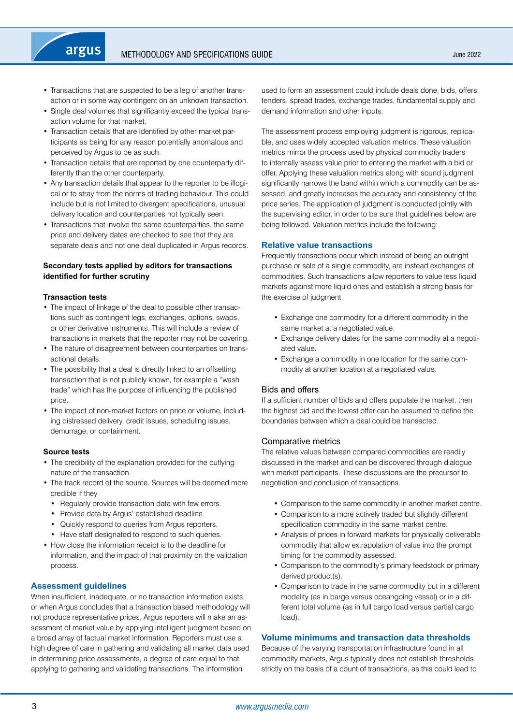- Transactions that are suspected to be a leg of another transaction or in some way contingent on an unknown transaction.
- Single deal volumes that significantly exceed the typical transaction volume for that market.
- Transaction details that are identified by other market participants as being for any reason potentially anomalous and perceived by Argus to be as such.
- Transaction details that are reported by one counterparty differently than the other counterparty.
- Any transaction details that appear to the reporter to be illogical or to stray from the norms of trading behaviour. This could include but is not limited to divergent specifications, unusual delivery location and counterparties not typically seen.
- Transactions that involve the same counterparties, the same price and delivery dates are checked to see that they are separate deals and not one deal duplicated in Argus records.

# **Secondary tests applied by editors for transactions identified for further scrutiny**

## **Transaction tests**

argus

- The impact of linkage of the deal to possible other transactions such as contingent legs, exchanges, options, swaps, or other derivative instruments. This will include a review of transactions in markets that the reporter may not be covering.
- The nature of disagreement between counterparties on transactional details.
- The possibility that a deal is directly linked to an offsetting transaction that is not publicly known, for example a "wash trade" which has the purpose of influencing the published price.
- The impact of non-market factors on price or volume, including distressed delivery, credit issues, scheduling issues, demurrage, or containment.

## **Source tests**

- The credibility of the explanation provided for the outlying nature of the transaction.
- The track record of the source. Sources will be deemed more credible if they
	- Regularly provide transaction data with few errors.
	- • Provide data by Argus' established deadline.
	- • Quickly respond to queries from Argus reporters.
	- Have staff designated to respond to such queries.
- How close the information receipt is to the deadline for information, and the impact of that proximity on the validation process.

## **Assessment guidelines**

When insufficient, inadequate, or no transaction information exists, or when Argus concludes that a transaction based methodology will not produce representative prices, Argus reporters will make an assessment of market value by applying intelligent judgment based on a broad array of factual market information. Reporters must use a high degree of care in gathering and validating all market data used in determining price assessments, a degree of care equal to that applying to gathering and validating transactions. The information

used to form an assessment could include deals done, bids, offers, tenders, spread trades, exchange trades, fundamental supply and demand information and other inputs.

The assessment process employing judgment is rigorous, replicable, and uses widely accepted valuation metrics. These valuation metrics mirror the process used by physical commodity traders to internally assess value prior to entering the market with a bid or offer. Applying these valuation metrics along with sound judgment significantly narrows the band within which a commodity can be assessed, and greatly increases the accuracy and consistency of the price series. The application of judgment is conducted jointly with the supervising editor, in order to be sure that guidelines below are being followed. Valuation metrics include the following:

#### **Relative value transactions**

Frequently transactions occur which instead of being an outright purchase or sale of a single commodity, are instead exchanges of commodities. Such transactions allow reporters to value less liquid markets against more liquid ones and establish a strong basis for the exercise of judgment.

- • Exchange one commodity for a different commodity in the same market at a negotiated value.
- Exchange delivery dates for the same commodity at a negotiated value.
- Exchange a commodity in one location for the same commodity at another location at a negotiated value.

## Bids and offers

If a sufficient number of bids and offers populate the market, then the highest bid and the lowest offer can be assumed to define the boundaries between which a deal could be transacted.

#### Comparative metrics

The relative values between compared commodities are readily discussed in the market and can be discovered through dialogue with market participants. These discussions are the precursor to negotiation and conclusion of transactions.

- Comparison to the same commodity in another market centre.
- Comparison to a more actively traded but slightly different specification commodity in the same market centre.
- Analysis of prices in forward markets for physically deliverable commodity that allow extrapolation of value into the prompt timing for the commodity assessed.
- Comparison to the commodity's primary feedstock or primary derived product(s).
- Comparison to trade in the same commodity but in a different modality (as in barge versus oceangoing vessel) or in a different total volume (as in full cargo load versus partial cargo load).

# **Volume minimums and transaction data thresholds**

Because of the varying transportation infrastructure found in all commodity markets, Argus typically does not establish thresholds strictly on the basis of a count of transactions, as this could lead to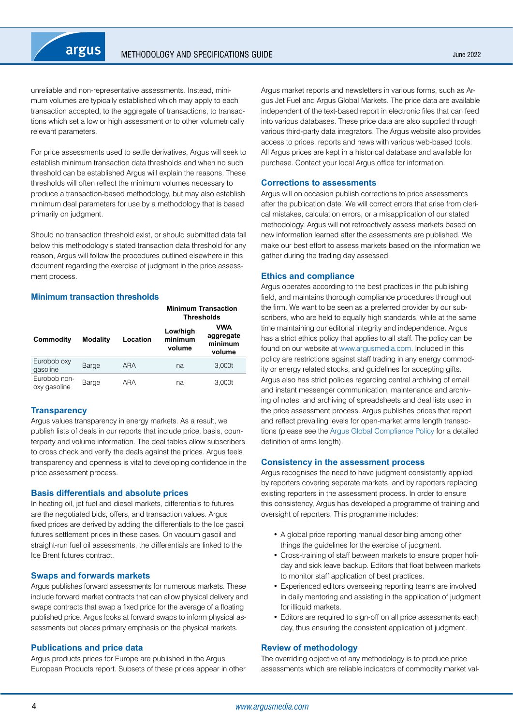unreliable and non-representative assessments. Instead, minimum volumes are typically established which may apply to each transaction accepted, to the aggregate of transactions, to transactions which set a low or high assessment or to other volumetrically relevant parameters.

For price assessments used to settle derivatives, Argus will seek to establish minimum transaction data thresholds and when no such threshold can be established Argus will explain the reasons. These thresholds will often reflect the minimum volumes necessary to produce a transaction-based methodology, but may also establish minimum deal parameters for use by a methodology that is based primarily on judgment.

Should no transaction threshold exist, or should submitted data fall below this methodology's stated transaction data threshold for any reason, Argus will follow the procedures outlined elsewhere in this document regarding the exercise of judgment in the price assessment process.

### **Minimum transaction thresholds**

|                              |                 |          | <b>Minimum Transaction</b><br><b>Thresholds</b> |                                              |
|------------------------------|-----------------|----------|-------------------------------------------------|----------------------------------------------|
| Commodity                    | <b>Modality</b> | Location | Low/high<br>minimum<br>volume                   | <b>VWA</b><br>aggregate<br>minimum<br>volume |
| Eurobob oxy<br>gasoline      | <b>Barge</b>    | ARA      | na                                              | 3,000t                                       |
| Eurobob non-<br>oxy gasoline | Barge           | ARA      | na                                              | 3,000t                                       |

## **Transparency**

Argus values transparency in energy markets. As a result, we publish lists of deals in our reports that include price, basis, counterparty and volume information. The deal tables allow subscribers to cross check and verify the deals against the prices. Argus feels transparency and openness is vital to developing confidence in the price assessment process.

## **Basis differentials and absolute prices**

In heating oil, jet fuel and diesel markets, differentials to futures are the negotiated bids, offers, and transaction values. Argus fixed prices are derived by adding the differentials to the Ice gasoil futures settlement prices in these cases. On vacuum gasoil and straight-run fuel oil assessments, the differentials are linked to the Ice Brent futures contract.

## **Swaps and forwards markets**

Argus publishes forward assessments for numerous markets. These include forward market contracts that can allow physical delivery and swaps contracts that swap a fixed price for the average of a floating published price. Argus looks at forward swaps to inform physical assessments but places primary emphasis on the physical markets.

## **Publications and price data**

Argus products prices for Europe are published in the Argus European Products report. Subsets of these prices appear in other Argus market reports and newsletters in various forms, such as Argus Jet Fuel and Argus Global Markets. The price data are available independent of the text-based report in electronic files that can feed into various databases. These price data are also supplied through various third-party data integrators. The Argus website also provides access to prices, reports and news with various web-based tools. All Argus prices are kept in a historical database and available for purchase. Contact your local Argus office for information.

## **Corrections to assessments**

Argus will on occasion publish corrections to price assessments after the publication date. We will correct errors that arise from clerical mistakes, calculation errors, or a misapplication of our stated methodology. Argus will not retroactively assess markets based on new information learned after the assessments are published. We make our best effort to assess markets based on the information we gather during the trading day assessed.

## **Ethics and compliance**

Argus operates according to the best practices in the publishing field, and maintains thorough compliance procedures throughout the firm. We want to be seen as a preferred provider by our subscribers, who are held to equally high standards, while at the same time maintaining our editorial integrity and independence. Argus has a strict ethics policy that applies to all staff. The policy can be found on our website at [www.argusmedia.com](https://www.argusmedia.com/en). Included in this policy are restrictions against staff trading in any energy commodity or energy related stocks, and guidelines for accepting gifts. Argus also has strict policies regarding central archiving of email and instant messenger communication, maintenance and archiving of notes, and archiving of spreadsheets and deal lists used in the price assessment process. Argus publishes prices that report and reflect prevailing levels for open-market arms length transactions (please see the [Argus Global Compliance Policy](https://www.argusmedia.com/-/media/Files/governance-and-compliance/global-compliance.ashx?la=en&hash=DB833EADC2BC60A7B262FC13D5E6A4B46CCDAB1E) for a detailed definition of arms length).

## **Consistency in the assessment process**

Argus recognises the need to have judgment consistently applied by reporters covering separate markets, and by reporters replacing existing reporters in the assessment process. In order to ensure this consistency, Argus has developed a programme of training and oversight of reporters. This programme includes:

- A global price reporting manual describing among other things the guidelines for the exercise of judgment.
- Cross-training of staff between markets to ensure proper holiday and sick leave backup. Editors that float between markets to monitor staff application of best practices.
- Experienced editors overseeing reporting teams are involved in daily mentoring and assisting in the application of judgment for illiquid markets.
- Editors are required to sign-off on all price assessments each day, thus ensuring the consistent application of judgment.

# **Review of methodology**

The overriding objective of any methodology is to produce price assessments which are reliable indicators of commodity market val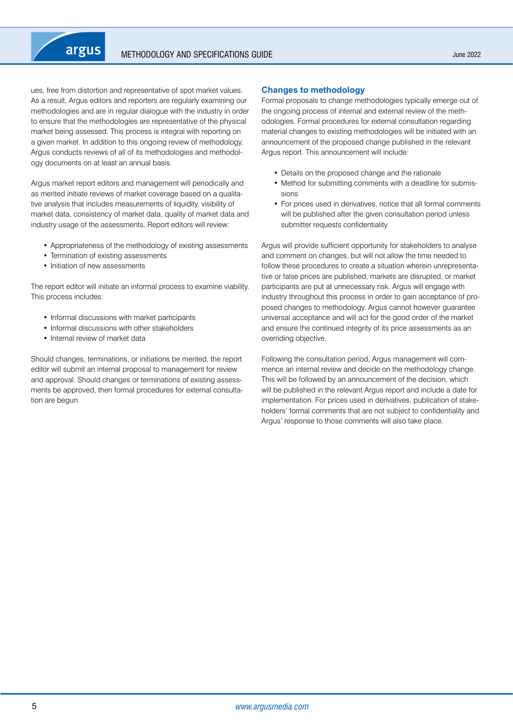ues, free from distortion and representative of spot market values. As a result, Argus editors and reporters are regularly examining our methodologies and are in regular dialogue with the industry in order to ensure that the methodologies are representative of the physical market being assessed. This process is integral with reporting on a given market. In addition to this ongoing review of methodology, Argus conducts reviews of all of its methodologies and methodology documents on at least an annual basis.

Argus market report editors and management will periodically and as merited initiate reviews of market coverage based on a qualitative analysis that includes measurements of liquidity, visibility of market data, consistency of market data, quality of market data and industry usage of the assessments. Report editors will review:

- • Appropriateness of the methodology of existing assessments
- Termination of existing assessments
- Initiation of new assessments

The report editor will initiate an informal process to examine viability. This process includes:

- Informal discussions with market participants
- Informal discussions with other stakeholders
- Internal review of market data

Should changes, terminations, or initiations be merited, the report editor will submit an internal proposal to management for review and approval. Should changes or terminations of existing assessments be approved, then formal procedures for external consultation are begun.

# **Changes to methodology**

Formal proposals to change methodologies typically emerge out of the ongoing process of internal and external review of the methodologies. Formal procedures for external consultation regarding material changes to existing methodologies will be initiated with an announcement of the proposed change published in the relevant Argus report. This announcement will include:

- Details on the proposed change and the rationale
- Method for submitting comments with a deadline for submissions
- For prices used in derivatives, notice that all formal comments will be published after the given consultation period unless submitter requests confidentiality

Argus will provide sufficient opportunity for stakeholders to analyse and comment on changes, but will not allow the time needed to follow these procedures to create a situation wherein unrepresentative or false prices are published, markets are disrupted, or market participants are put at unnecessary risk. Argus will engage with industry throughout this process in order to gain acceptance of proposed changes to methodology. Argus cannot however guarantee universal acceptance and will act for the good order of the market and ensure the continued integrity of its price assessments as an overriding objective.

Following the consultation period, Argus management will commence an internal review and decide on the methodology change. This will be followed by an announcement of the decision, which will be published in the relevant Argus report and include a date for implementation. For prices used in derivatives, publication of stakeholders' formal comments that are not subject to confidentiality and Argus' response to those comments will also take place.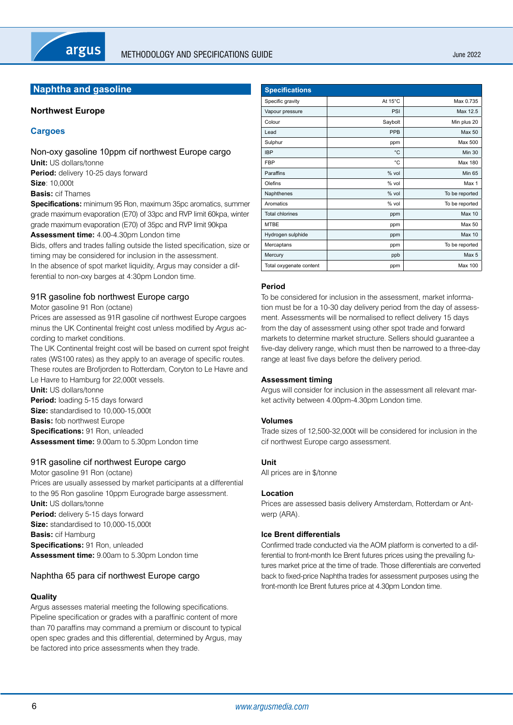# <span id="page-5-0"></span>**Naphtha and gasoline**

## **Northwest Europe**

## **Cargoes**

Non-oxy gasoline 10ppm cif northwest Europe cargo **Unit:** US dollars/tonne Period: delivery 10-25 days forward

**Size**: 10,000t

#### **Basis:** cif Thames

**Specifications:** minimum 95 Ron, maximum 35pc aromatics, summer grade maximum evaporation (E70) of 33pc and RVP limit 60kpa, winter grade maximum evaporation (E70) of 35pc and RVP limit 90kpa

**Assessment time:** 4.00-4.30pm London time

Bids, offers and trades falling outside the listed specification, size or timing may be considered for inclusion in the assessment.

In the absence of spot market liquidity, Argus may consider a differential to non-oxy barges at 4:30pm London time.

## 91R gasoline fob northwest Europe cargo

Motor gasoline 91 Ron (octane)

Prices are assessed as 91R gasoline cif northwest Europe cargoes minus the UK Continental freight cost unless modified by *Argus* according to market conditions.

The UK Continental freight cost will be based on current spot freight rates (WS100 rates) as they apply to an average of specific routes. These routes are Brofjorden to Rotterdam, Coryton to Le Havre and Le Havre to Hamburg for 22,000t vessels.

**Unit:** US dollars/tonne

Period: loading 5-15 days forward **Size:** standardised to 10,000-15,000t **Basis:** fob northwest Europe **Specifications:** 91 Ron, unleaded

**Assessment time:** 9.00am to 5.30pm London time

## 91R gasoline cif northwest Europe cargo

Motor gasoline 91 Ron (octane) Prices are usually assessed by market participants at a differential to the 95 Ron gasoline 10ppm Eurograde barge assessment. **Unit:** US dollars/tonne **Period:** delivery 5-15 days forward **Size:** standardised to 10,000-15,000t **Basis:** cif Hamburg **Specifications:** 91 Ron, unleaded **Assessment time:** 9.00am to 5.30pm London time

## Naphtha 65 para cif northwest Europe cargo

#### **Quality**

Argus assesses material meeting the following specifications. Pipeline specification or grades with a paraffinic content of more than 70 paraffins may command a premium or discount to typical open spec grades and this differential, determined by Argus, may be factored into price assessments when they trade.

| <b>Specifications</b>   |                   |                |
|-------------------------|-------------------|----------------|
| Specific gravity        | At $15^{\circ}$ C | Max 0.735      |
| Vapour pressure         | PSI               | Max 12.5       |
| Colour                  | Saybolt           | Min plus 20    |
| Lead                    | <b>PPB</b>        | Max 50         |
| Sulphur                 | ppm               | Max 500        |
| <b>IBP</b>              | °C                | <b>Min 30</b>  |
| FBP                     | °C                | Max 180        |
| Paraffins               | % vol             | <b>Min 65</b>  |
| Olefins                 | % vol             | Max 1          |
| Naphthenes              | % vol             | To be reported |
| Aromatics               | $%$ vol           | To be reported |
| <b>Total chlorines</b>  | ppm               | <b>Max 10</b>  |
| <b>MTBE</b>             | ppm               | Max 50         |
| Hydrogen sulphide       | ppm               | <b>Max 10</b>  |
| Mercaptans              | ppm               | To be reported |
| Mercury                 | ppb               | Max 5          |
| Total oxygenate content | ppm               | Max 100        |

## **Period**

To be considered for inclusion in the assessment, market information must be for a 10-30 day delivery period from the day of assessment. Assessments will be normalised to reflect delivery 15 days from the day of assessment using other spot trade and forward markets to determine market structure. Sellers should guarantee a five-day delivery range, which must then be narrowed to a three-day range at least five days before the delivery period.

#### **Assessment timing**

Argus will consider for inclusion in the assessment all relevant market activity between 4.00pm-4.30pm London time.

#### **Volumes**

Trade sizes of 12,500-32,000t will be considered for inclusion in the cif northwest Europe cargo assessment.

#### **Unit**

All prices are in \$/tonne

#### **Location**

Prices are assessed basis delivery Amsterdam, Rotterdam or Antwerp (ARA).

## **Ice Brent differentials**

Confirmed trade conducted via the AOM platform is converted to a differential to front-month Ice Brent futures prices using the prevailing futures market price at the time of trade. Those differentials are converted back to fixed-price Naphtha trades for assessment purposes using the front-month Ice Brent futures price at 4.30pm London time.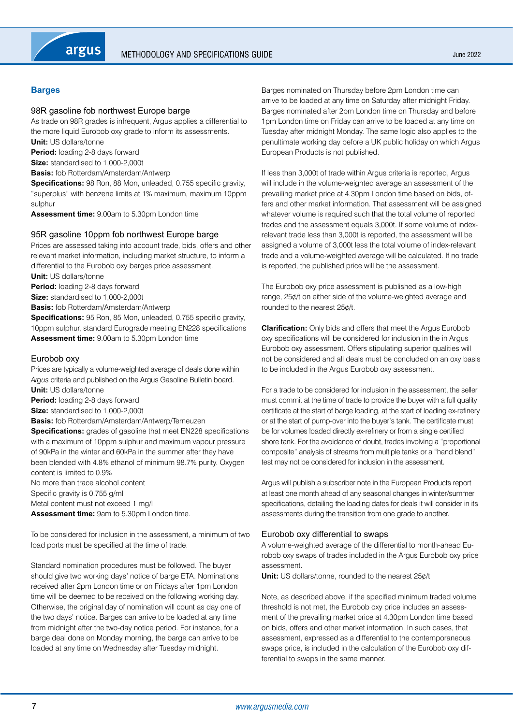# <span id="page-6-0"></span>**Barges**

#### 98R gasoline fob northwest Europe barge

As trade on 98R grades is infrequent, Argus applies a differential to the more liquid Eurobob oxy grade to inform its assessments.

**Unit:** US dollars/tonne

**Period:** loading 2-8 days forward

**Size:** standardised to 1,000-2,000t

**Basis:** fob Rotterdam/Amsterdam/Antwerp

**Specifications:** 98 Ron, 88 Mon, unleaded, 0.755 specific gravity, "superplus" with benzene limits at 1% maximum, maximum 10ppm sulphur

**Assessment time:** 9.00am to 5.30pm London time

## 95R gasoline 10ppm fob northwest Europe barge

Prices are assessed taking into account trade, bids, offers and other relevant market information, including market structure, to inform a differential to the Eurobob oxy barges price assessment.

**Unit:** US dollars/tonne

**Period:** loading 2-8 days forward

**Size:** standardised to 1,000-2,000t

**Basis:** fob Rotterdam/Amsterdam/Antwerp

**Specifications:** 95 Ron, 85 Mon, unleaded, 0.755 specific gravity, 10ppm sulphur, standard Eurograde meeting EN228 specifications **Assessment time:** 9.00am to 5.30pm London time

#### Eurobob oxy

Prices are typically a volume-weighted average of deals done within *Argus* criteria and published on the Argus Gasoline Bulletin board. **Unit:** US dollars/tonne

**Period:** loading 2-8 days forward

**Size:** standardised to 1,000-2,000t

**Basis:** fob Rotterdam/Amsterdam/Antwerp/Terneuzen

**Specifications:** grades of gasoline that meet EN228 specifications with a maximum of 10ppm sulphur and maximum vapour pressure of 90kPa in the winter and 60kPa in the summer after they have been blended with 4.8% ethanol of minimum 98.7% purity. Oxygen content is limited to 0.9% No more than trace alcohol content

Specific gravity is 0.755 g/ml

Metal content must not exceed 1 mg/l

**Assessment time:** 9am to 5.30pm London time.

To be considered for inclusion in the assessment, a minimum of two load ports must be specified at the time of trade.

Standard nomination procedures must be followed. The buyer should give two working days' notice of barge ETA. Nominations received after 2pm London time or on Fridays after 1pm London time will be deemed to be received on the following working day. Otherwise, the original day of nomination will count as day one of the two days' notice. Barges can arrive to be loaded at any time from midnight after the two-day notice period. For instance, for a barge deal done on Monday morning, the barge can arrive to be loaded at any time on Wednesday after Tuesday midnight.

Barges nominated on Thursday before 2pm London time can arrive to be loaded at any time on Saturday after midnight Friday. Barges nominated after 2pm London time on Thursday and before 1pm London time on Friday can arrive to be loaded at any time on Tuesday after midnight Monday. The same logic also applies to the penultimate working day before a UK public holiday on which Argus European Products is not published.

If less than 3,000t of trade within Argus criteria is reported, Argus will include in the volume-weighted average an assessment of the prevailing market price at 4.30pm London time based on bids, offers and other market information. That assessment will be assigned whatever volume is required such that the total volume of reported trades and the assessment equals 3,000t. If some volume of indexrelevant trade less than 3,000t is reported, the assessment will be assigned a volume of 3,000t less the total volume of index-relevant trade and a volume-weighted average will be calculated. If no trade is reported, the published price will be the assessment.

The Eurobob oxy price assessment is published as a low-high range, 25¢/t on either side of the volume-weighted average and rounded to the nearest 25¢/t.

**Clarification:** Only bids and offers that meet the Argus Eurobob oxy specifications will be considered for inclusion in the in Argus Eurobob oxy assessment. Offers stipulating superior qualities will not be considered and all deals must be concluded on an oxy basis to be included in the Argus Eurobob oxy assessment.

For a trade to be considered for inclusion in the assessment, the seller must commit at the time of trade to provide the buyer with a full quality certificate at the start of barge loading, at the start of loading ex-refinery or at the start of pump-over into the buyer's tank. The certificate must be for volumes loaded directly ex-refinery or from a single certified shore tank. For the avoidance of doubt, trades involving a "proportional composite" analysis of streams from multiple tanks or a "hand blend" test may not be considered for inclusion in the assessment.

Argus will publish a subscriber note in the European Products report at least one month ahead of any seasonal changes in winter/summer specifications, detailing the loading dates for deals it will consider in its assessments during the transition from one grade to another.

#### Eurobob oxy differential to swaps

A volume-weighted average of the differential to month-ahead Eurobob oxy swaps of trades included in the Argus Eurobob oxy price assessment.

**Unit:** US dollars/tonne, rounded to the nearest 25¢/t

Note, as described above, if the specified minimum traded volume threshold is not met, the Eurobob oxy price includes an assessment of the prevailing market price at 4.30pm London time based on bids, offers and other market information. In such cases, that assessment, expressed as a differential to the contemporaneous swaps price, is included in the calculation of the Eurobob oxy differential to swaps in the same manner.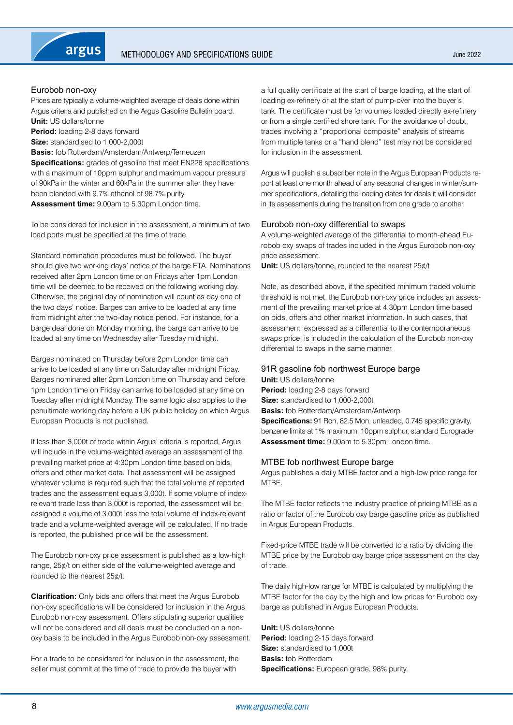## Eurobob non-oxy

Prices are typically a volume-weighted average of deals done within Argus criteria and published on the Argus Gasoline Bulletin board. **Unit:** US dollars/tonne

**Period:** loading 2-8 days forward

**Size:** standardised to 1,000-2,000t

**Basis:** fob Rotterdam/Amsterdam/Antwerp/Terneuzen

**Specifications:** grades of gasoline that meet EN228 specifications with a maximum of 10ppm sulphur and maximum vapour pressure of 90kPa in the winter and 60kPa in the summer after they have been blended with 9.7% ethanol of 98.7% purity. **Assessment time:** 9.00am to 5.30pm London time.

To be considered for inclusion in the assessment, a minimum of two load ports must be specified at the time of trade.

Standard nomination procedures must be followed. The buyer should give two working days' notice of the barge ETA. Nominations received after 2pm London time or on Fridays after 1pm London time will be deemed to be received on the following working day. Otherwise, the original day of nomination will count as day one of the two days' notice. Barges can arrive to be loaded at any time from midnight after the two-day notice period. For instance, for a barge deal done on Monday morning, the barge can arrive to be loaded at any time on Wednesday after Tuesday midnight.

Barges nominated on Thursday before 2pm London time can arrive to be loaded at any time on Saturday after midnight Friday. Barges nominated after 2pm London time on Thursday and before 1pm London time on Friday can arrive to be loaded at any time on Tuesday after midnight Monday. The same logic also applies to the penultimate working day before a UK public holiday on which Argus European Products is not published.

If less than 3,000t of trade within Argus' criteria is reported, Argus will include in the volume-weighted average an assessment of the prevailing market price at 4:30pm London time based on bids, offers and other market data. That assessment will be assigned whatever volume is required such that the total volume of reported trades and the assessment equals 3,000t. If some volume of indexrelevant trade less than 3,000t is reported, the assessment will be assigned a volume of 3,000t less the total volume of index-relevant trade and a volume-weighted average will be calculated. If no trade is reported, the published price will be the assessment.

The Eurobob non-oxy price assessment is published as a low-high range, 25¢/t on either side of the volume-weighted average and rounded to the nearest 25¢/t.

**Clarification:** Only bids and offers that meet the Argus Eurobob non-oxy specifications will be considered for inclusion in the Argus Eurobob non-oxy assessment. Offers stipulating superior qualities will not be considered and all deals must be concluded on a nonoxy basis to be included in the Argus Eurobob non-oxy assessment.

For a trade to be considered for inclusion in the assessment, the seller must commit at the time of trade to provide the buyer with

a full quality certificate at the start of barge loading, at the start of loading ex-refinery or at the start of pump-over into the buyer's tank. The certificate must be for volumes loaded directly ex-refinery or from a single certified shore tank. For the avoidance of doubt, trades involving a "proportional composite" analysis of streams from multiple tanks or a "hand blend" test may not be considered for inclusion in the assessment.

Argus will publish a subscriber note in the Argus European Products report at least one month ahead of any seasonal changes in winter/summer specifications, detailing the loading dates for deals it will consider in its assessments during the transition from one grade to another.

## Eurobob non-oxy differential to swaps

A volume-weighted average of the differential to month-ahead Eurobob oxy swaps of trades included in the Argus Eurobob non-oxy price assessment.

**Unit:** US dollars/tonne, rounded to the nearest 25¢/t

Note, as described above, if the specified minimum traded volume threshold is not met, the Eurobob non-oxy price includes an assessment of the prevailing market price at 4.30pm London time based on bids, offers and other market information. In such cases, that assessment, expressed as a differential to the contemporaneous swaps price, is included in the calculation of the Eurobob non-oxy differential to swaps in the same manner.

#### 91R gasoline fob northwest Europe barge

**Unit:** US dollars/tonne **Period:** loading 2-8 days forward **Size:** standardised to 1,000-2,000t **Basis:** fob Rotterdam/Amsterdam/Antwerp **Specifications:** 91 Ron, 82.5 Mon, unleaded, 0.745 specific gravity, benzene limits at 1% maximum, 10ppm sulphur, standard Eurograde **Assessment time:** 9.00am to 5.30pm London time.

#### MTBE fob northwest Europe barge

Argus publishes a daily MTBE factor and a high-low price range for MTBE.

The MTBE factor reflects the industry practice of pricing MTBE as a ratio or factor of the Eurobob oxy barge gasoline price as published in Argus European Products.

Fixed-price MTBE trade will be converted to a ratio by dividing the MTBE price by the Eurobob oxy barge price assessment on the day of trade.

The daily high-low range for MTBE is calculated by multiplying the MTBE factor for the day by the high and low prices for Eurobob oxy barge as published in Argus European Products.

**Unit:** US dollars/tonne **Period:** loading 2-15 days forward **Size:** standardised to 1,000t **Basis:** fob Rotterdam. **Specifications:** European grade, 98% purity.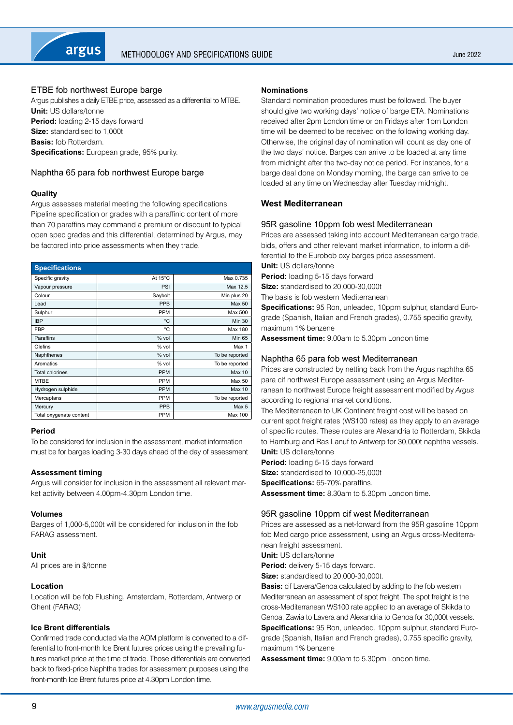<span id="page-8-0"></span>

## ETBE fob northwest Europe barge

Argus publishes a daily ETBE price, assessed as a differential to MTBE. **Unit:** US dollars/tonne **Period:** loading 2-15 days forward **Size:** standardised to 1,000t **Basis:** fob Rotterdam. **Specifications:** European grade, 95% purity.

# Naphtha 65 para fob northwest Europe barge

## **Quality**

Argus assesses material meeting the following specifications. Pipeline specification or grades with a paraffinic content of more than 70 paraffins may command a premium or discount to typical open spec grades and this differential, determined by Argus, may be factored into price assessments when they trade.

| <b>Specifications</b>   |            |                |
|-------------------------|------------|----------------|
| Specific gravity        | At 15°C    | Max 0.735      |
| Vapour pressure         | PSI        | Max 12.5       |
| Colour                  | Saybolt    | Min plus 20    |
| Lead                    | PPB        | <b>Max 50</b>  |
| Sulphur                 | <b>PPM</b> | Max 500        |
| <b>IBP</b>              | °C         | <b>Min 30</b>  |
| <b>FBP</b>              | °C         | Max 180        |
| Paraffins               | % vol      | <b>Min 65</b>  |
| Olefins                 | % vol      | Max 1          |
| Naphthenes              | % vol      | To be reported |
| Aromatics               | % vol      | To be reported |
| <b>Total chlorines</b>  | <b>PPM</b> | <b>Max 10</b>  |
| <b>MTBE</b>             | <b>PPM</b> | Max 50         |
| Hydrogen sulphide       | <b>PPM</b> | <b>Max 10</b>  |
| Mercaptans              | <b>PPM</b> | To be reported |
| Mercury                 | PPB        | Max 5          |
| Total oxygenate content | <b>PPM</b> | Max 100        |

#### **Period**

To be considered for inclusion in the assessment, market information must be for barges loading 3-30 days ahead of the day of assessment

#### **Assessment timing**

Argus will consider for inclusion in the assessment all relevant market activity between 4.00pm-4.30pm London time.

#### **Volumes**

Barges of 1,000-5,000t will be considered for inclusion in the fob FARAG assessment.

## **Unit**

All prices are in \$/tonne

## **Location**

Location will be fob Flushing, Amsterdam, Rotterdam, Antwerp or Ghent (FARAG)

## **Ice Brent differentials**

Confirmed trade conducted via the AOM platform is converted to a differential to front-month Ice Brent futures prices using the prevailing futures market price at the time of trade. Those differentials are converted back to fixed-price Naphtha trades for assessment purposes using the front-month Ice Brent futures price at 4.30pm London time.

## **Nominations**

Standard nomination procedures must be followed. The buyer should give two working days' notice of barge ETA. Nominations received after 2pm London time or on Fridays after 1pm London time will be deemed to be received on the following working day. Otherwise, the original day of nomination will count as day one of the two days' notice. Barges can arrive to be loaded at any time from midnight after the two-day notice period. For instance, for a barge deal done on Monday morning, the barge can arrive to be loaded at any time on Wednesday after Tuesday midnight.

# **West Mediterranean**

## 95R gasoline 10ppm fob west Mediterranean

Prices are assessed taking into account Mediterranean cargo trade, bids, offers and other relevant market information, to inform a differential to the Eurobob oxy barges price assessment.

**Unit:** US dollars/tonne

**Period:** loading 5-15 days forward

**Size:** standardised to 20,000-30,000t

The basis is fob western Mediterranean

**Specifications:** 95 Ron, unleaded, 10ppm sulphur, standard Eurograde (Spanish, Italian and French grades), 0.755 specific gravity, maximum 1% benzene

**Assessment time:** 9.00am to 5.30pm London time

# Naphtha 65 para fob west Mediterranean

Prices are constructed by netting back from the Argus naphtha 65 para cif northwest Europe assessment using an Argus Mediterranean to northwest Europe freight assessment modified by *Argus* according to regional market conditions.

The Mediterranean to UK Continent freight cost will be based on current spot freight rates (WS100 rates) as they apply to an average of specific routes. These routes are Alexandria to Rotterdam, Skikda to Hamburg and Ras Lanuf to Antwerp for 30,000t naphtha vessels. **Unit:** US dollars/tonne

**Period:** loading 5-15 days forward **Size:** standardised to 10,000-25,000t **Specifications:** 65-70% paraffins. **Assessment time:** 8.30am to 5.30pm London time.

# 95R gasoline 10ppm cif west Mediterranean

Prices are assessed as a net-forward from the 95R gasoline 10ppm fob Med cargo price assessment, using an Argus cross-Mediterranean freight assessment.

**Unit:** US dollars/tonne

**Period:** delivery 5-15 days forward.

**Size:** standardised to 20,000-30,000t.

**Basis:** cif Lavera/Genoa calculated by adding to the fob western Mediterranean an assessment of spot freight. The spot freight is the cross-Mediterranean WS100 rate applied to an average of Skikda to Genoa, Zawia to Lavera and Alexandria to Genoa for 30,000t vessels. **Specifications:** 95 Ron, unleaded, 10ppm sulphur, standard Eurograde (Spanish, Italian and French grades), 0.755 specific gravity, maximum 1% benzene

**Assessment time:** 9.00am to 5.30pm London time.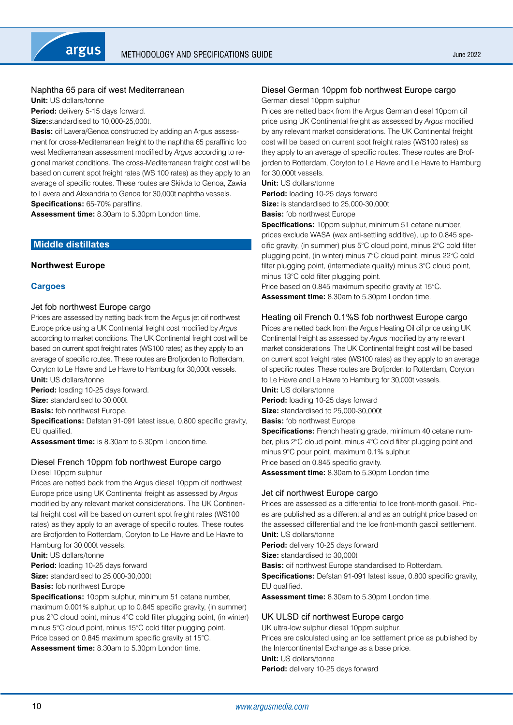# <span id="page-9-0"></span>Naphtha 65 para cif west Mediterranean

**Unit:** US dollars/tonne

Period: delivery 5-15 days forward.

**Size:**standardised to 10,000-25,000t.

**Basis:** cif Lavera/Genoa constructed by adding an Argus assessment for cross-Mediterranean freight to the naphtha 65 paraffinic fob west Mediterranean assessment modified by *Argus* according to regional market conditions. The cross-Mediterranean freight cost will be based on current spot freight rates (WS 100 rates) as they apply to an average of specific routes. These routes are Skikda to Genoa, Zawia to Lavera and Alexandria to Genoa for 30,000t naphtha vessels. **Specifications:** 65-70% paraffins.

**Assessment time:** 8.30am to 5.30pm London time.

# **Middle distillates**

# **Northwest Europe**

## **Cargoes**

## Jet fob northwest Europe cargo

Prices are assessed by netting back from the Argus jet cif northwest Europe price using a UK Continental freight cost modified by *Argus* according to market conditions. The UK Continental freight cost will be based on current spot freight rates (WS100 rates) as they apply to an average of specific routes. These routes are Brofjorden to Rotterdam, Coryton to Le Havre and Le Havre to Hamburg for 30,000t vessels. **Unit: US dollars/tonne** 

**Period:** loading 10-25 days forward.

**Size:** standardised to 30,000t.

**Basis:** fob northwest Europe.

**Specifications:** Defstan 91-091 latest issue, 0.800 specific gravity, EU qualified.

**Assessment time:** is 8.30am to 5.30pm London time.

## Diesel French 10ppm fob northwest Europe cargo

Diesel 10ppm sulphur

Prices are netted back from the Argus diesel 10ppm cif northwest Europe price using UK Continental freight as assessed by *Argus* modified by any relevant market considerations. The UK Continental freight cost will be based on current spot freight rates (WS100 rates) as they apply to an average of specific routes. These routes are Brofjorden to Rotterdam, Coryton to Le Havre and Le Havre to Hamburg for 30,000t vessels.

**Unit:** US dollars/tonne

**Period:** loading 10-25 days forward **Size:** standardised to 25,000-30,000t

**Basis:** fob northwest Europe

**Specifications:** 10ppm sulphur, minimum 51 cetane number, maximum 0.001% sulphur, up to 0.845 specific gravity, (in summer) plus 2°C cloud point, minus 4°C cold filter plugging point, (in winter) minus 5°C cloud point, minus 15°C cold filter plugging point. Price based on 0.845 maximum specific gravity at 15°C. **Assessment time:** 8.30am to 5.30pm London time.

# Diesel German 10ppm fob northwest Europe cargo

German diesel 10ppm sulphur

Prices are netted back from the Argus German diesel 10ppm cif price using UK Continental freight as assessed by *Argus* modified by any relevant market considerations. The UK Continental freight cost will be based on current spot freight rates (WS100 rates) as they apply to an average of specific routes. These routes are Brofjorden to Rotterdam, Coryton to Le Havre and Le Havre to Hamburg for 30,000t vessels.

**Unit:** US dollars/tonne

**Period:** loading 10-25 days forward

**Size:** is standardised to 25,000-30,000t

**Basis:** fob northwest Europe

**Specifications:** 10ppm sulphur, minimum 51 cetane number, prices exclude WASA (wax anti-settling additive), up to 0.845 specific gravity, (in summer) plus 5°C cloud point, minus 2°C cold filter plugging point, (in winter) minus 7°C cloud point, minus 22°C cold filter plugging point, (intermediate quality) minus 3°C cloud point, minus 13°C cold filter plugging point.

Price based on 0.845 maximum specific gravity at 15°C. **Assessment time:** 8.30am to 5.30pm London time.

## Heating oil French 0.1%S fob northwest Europe cargo

Prices are netted back from the Argus Heating Oil cif price using UK Continental freight as assessed by *Argus* modified by any relevant market considerations. The UK Continental freight cost will be based on current spot freight rates (WS100 rates) as they apply to an average of specific routes. These routes are Brofjorden to Rotterdam, Coryton to Le Havre and Le Havre to Hamburg for 30,000t vessels.

**Unit:** US dollars/tonne

Period: loading 10-25 days forward

**Size:** standardised to 25,000-30,000t

**Basis:** fob northwest Europe

**Specifications:** French heating grade, minimum 40 cetane number, plus 2°C cloud point, minus 4°C cold filter plugging point and minus 9°C pour point, maximum 0.1% sulphur. Price based on 0.845 specific gravity.

**Assessment time:** 8.30am to 5.30pm London time

#### Jet cif northwest Europe cargo

Prices are assessed as a differential to Ice front-month gasoil. Prices are published as a differential and as an outright price based on the assessed differential and the Ice front-month gasoil settlement. **Unit:** US dollars/tonne

**Period:** delivery 10-25 days forward

**Size:** standardised to 30,000t

**Basis:** cif northwest Europe standardised to Rotterdam.

**Specifications:** Defstan 91-091 latest issue, 0.800 specific gravity, EU qualified.

**Assessment time:** 8.30am to 5.30pm London time.

# UK ULSD cif northwest Europe cargo

UK ultra-low sulphur diesel 10ppm sulphur. Prices are calculated using an Ice settlement price as published by the Intercontinental Exchange as a base price. **Unit:** US dollars/tonne **Period:** delivery 10-25 days forward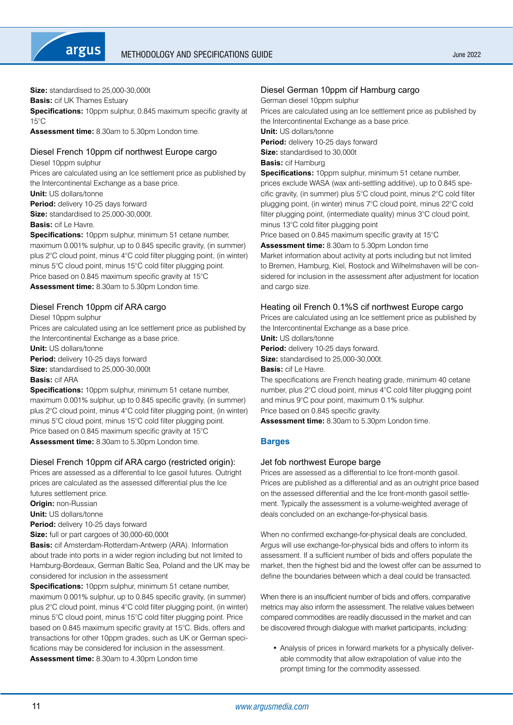<span id="page-10-0"></span>

**Size:** standardised to 25,000-30,000t

**Basis:** cif UK Thames Estuary

**Specifications:** 10ppm sulphur, 0.845 maximum specific gravity at  $15^{\circ}$ C

**Assessment time:** 8.30am to 5.30pm London time.

# Diesel French 10ppm cif northwest Europe cargo

Diesel 10ppm sulphur

Prices are calculated using an Ice settlement price as published by the Intercontinental Exchange as a base price.

**Unit: US dollars/tonne** 

**Period:** delivery 10-25 days forward

**Size:** standardised to 25,000-30,000t.

**Basis:** cif Le Havre.

**Specifications:** 10ppm sulphur, minimum 51 cetane number, maximum 0.001% sulphur, up to 0.845 specific gravity, (in summer) plus 2°C cloud point, minus 4°C cold filter plugging point, (in winter) minus 5°C cloud point, minus 15°C cold filter plugging point. Price based on 0.845 maximum specific gravity at 15°C **Assessment time:** 8.30am to 5.30pm London time.

# Diesel French 10ppm cif ARA cargo

Diesel 10ppm sulphur

Prices are calculated using an Ice settlement price as published by the Intercontinental Exchange as a base price.

**Unit:** US dollars/tonne **Period:** delivery 10-25 days forward

**Size:** standardised to 25,000-30,000t

# **Basis:** cif ARA

**Specifications:** 10ppm sulphur, minimum 51 cetane number, maximum 0.001% sulphur, up to 0.845 specific gravity, (in summer) plus 2°C cloud point, minus 4°C cold filter plugging point, (in winter) minus 5°C cloud point, minus 15°C cold filter plugging point. Price based on 0.845 maximum specific gravity at 15°C **Assessment time:** 8.30am to 5.30pm London time.

# Diesel French 10ppm cif ARA cargo (restricted origin):

Prices are assessed as a differential to Ice gasoil futures. Outright prices are calculated as the assessed differential plus the Ice futures settlement price.

**Origin:** non-Russian

**Unit:** US dollars/tonne

**Period:** delivery 10-25 days forward

**Size:** full or part cargoes of 30,000-60,000t

**Basis:** cif Amsterdam-Rotterdam-Antwerp (ARA). Information about trade into ports in a wider region including but not limited to Hamburg-Bordeaux, German Baltic Sea, Poland and the UK may be considered for inclusion in the assessment

**Specifications:** 10ppm sulphur, minimum 51 cetane number, maximum 0.001% sulphur, up to 0.845 specific gravity, (in summer) plus 2°C cloud point, minus 4°C cold filter plugging point, (in winter) minus 5°C cloud point, minus 15°C cold filter plugging point. Price based on 0.845 maximum specific gravity at 15°C. Bids, offers and transactions for other 10ppm grades, such as UK or German specifications may be considered for inclusion in the assessment. **Assessment time:** 8.30am to 4.30pm London time

# Diesel German 10ppm cif Hamburg cargo

German diesel 10ppm sulphur

Prices are calculated using an Ice settlement price as published by the Intercontinental Exchange as a base price.

**Unit:** US dollars/tonne

Period: delivery 10-25 days forward

**Size:** standardised to 30,000t

## **Basis:** cif Hamburg

**Specifications:** 10ppm sulphur, minimum 51 cetane number, prices exclude WASA (wax anti-settling additive), up to 0.845 specific gravity, (in summer) plus 5°C cloud point, minus 2°C cold filter plugging point, (in winter) minus 7°C cloud point, minus 22°C cold filter plugging point, (intermediate quality) minus 3°C cloud point, minus 13°C cold filter plugging point

Price based on 0.845 maximum specific gravity at 15°C

**Assessment time:** 8.30am to 5.30pm London time

Market information about activity at ports including but not limited to Bremen, Hamburg, Kiel, Rostock and Wilhelmshaven will be considered for inclusion in the assessment after adjustment for location and cargo size.

# Heating oil French 0.1%S cif northwest Europe cargo

Prices are calculated using an Ice settlement price as published by the Intercontinental Exchange as a base price.

**Unit:** US dollars/tonne

**Period:** delivery 10-25 days forward.

**Size:** standardised to 25,000-30,000t.

**Basis:** cif Le Havre.

The specifications are French heating grade, minimum 40 cetane number, plus 2°C cloud point, minus 4°C cold filter plugging point and minus 9°C pour point, maximum 0.1% sulphur. Price based on 0.845 specific gravity.

**Assessment time:** 8.30am to 5.30pm London time.

# **Barges**

# Jet fob northwest Europe barge

Prices are assessed as a differential to Ice front-month gasoil. Prices are published as a differential and as an outright price based on the assessed differential and the Ice front-month gasoil settlement. Typically the assessment is a volume-weighted average of deals concluded on an exchange-for-physical basis.

When no confirmed exchange-for-physical deals are concluded, Argus will use exchange-for-physical bids and offers to inform its assessment. If a sufficient number of bids and offers populate the market, then the highest bid and the lowest offer can be assumed to define the boundaries between which a deal could be transacted.

When there is an insufficient number of bids and offers, comparative metrics may also inform the assessment. The relative values between compared commodities are readily discussed in the market and can be discovered through dialogue with market participants, including:

• Analysis of prices in forward markets for a physically deliverable commodity that allow extrapolation of value into the prompt timing for the commodity assessed.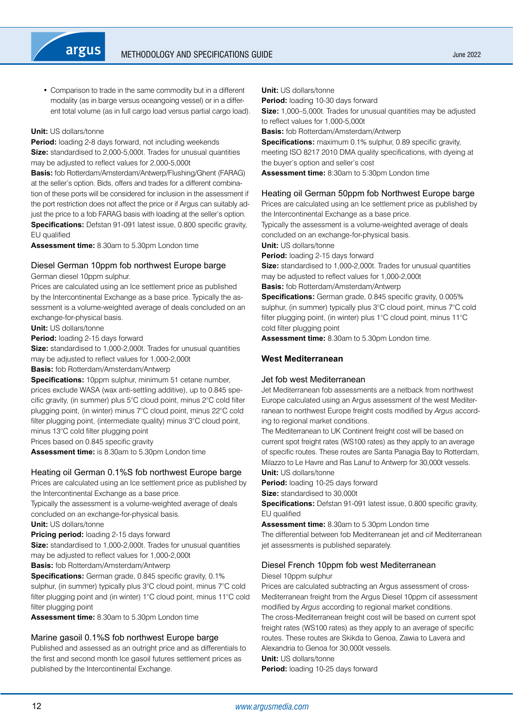<span id="page-11-0"></span>• Comparison to trade in the same commodity but in a different modality (as in barge versus oceangoing vessel) or in a different total volume (as in full cargo load versus partial cargo load).

#### **Unit:** US dollars/tonne

**Period:** loading 2-8 days forward, not including weekends **Size:** standardised to 2,000-5,000t. Trades for unusual quantities may be adjusted to reflect values for 2,000-5,000t

**Basis:** fob Rotterdam/Amsterdam/Antwerp/Flushing/Ghent (FARAG) at the seller's option. Bids, offers and trades for a different combination of these ports will be considered for inclusion in the assessment if the port restriction does not affect the price or if Argus can suitably adjust the price to a fob FARAG basis with loading at the seller's option. **Specifications:** Defstan 91-091 latest issue, 0.800 specific gravity, EU qualified

**Assessment time:** 8.30am to 5.30pm London time

## Diesel German 10ppm fob northwest Europe barge

German diesel 10ppm sulphur.

Prices are calculated using an Ice settlement price as published by the Intercontinental Exchange as a base price. Typically the assessment is a volume-weighted average of deals concluded on an exchange-for-physical basis.

**Unit:** US dollars/tonne

**Period:** loading 2-15 days forward

**Size:** standardised to 1,000-2,000t. Trades for unusual quantities may be adjusted to reflect values for 1,000-2,000t

**Basis:** fob Rotterdam/Amsterdam/Antwerp

**Specifications:** 10ppm sulphur, minimum 51 cetane number, prices exclude WASA (wax anti-settling additive), up to 0.845 specific gravity, (in summer) plus 5°C cloud point, minus 2°C cold filter plugging point, (in winter) minus 7°C cloud point, minus 22°C cold filter plugging point, (intermediate quality) minus 3°C cloud point, minus 13°C cold filter plugging point

Prices based on 0.845 specific gravity

**Assessment time:** is 8.30am to 5.30pm London time

# Heating oil German 0.1%S fob northwest Europe barge

Prices are calculated using an Ice settlement price as published by the Intercontinental Exchange as a base price.

Typically the assessment is a volume-weighted average of deals concluded on an exchange-for-physical basis.

**Unit:** US dollars/tonne

**Pricing period:** loading 2-15 days forward

**Size:** standardised to 1,000-2,000t. Trades for unusual quantities may be adjusted to reflect values for 1,000-2,000t

**Basis:** fob Rotterdam/Amsterdam/Antwerp

**Specifications:** German grade, 0.845 specific gravity, 0.1% sulphur, (in summer) typically plus 3°C cloud point, minus 7°C cold filter plugging point and (in winter) 1°C cloud point, minus 11°C cold filter plugging point

**Assessment time:** 8.30am to 5.30pm London time

## Marine gasoil 0.1%S fob northwest Europe barge

Published and assessed as an outright price and as differentials to the first and second month Ice gasoil futures settlement prices as published by the Intercontinental Exchange.

**Unit:** US dollars/tonne

**Period:** loading 10-30 days forward

**Size:** 1,000–5,000t. Trades for unusual quantities may be adjusted to reflect values for 1,000-5,000t

**Basis:** fob Rotterdam/Amsterdam/Antwerp

**Specifications:** maximum 0.1% sulphur, 0.89 specific gravity, meeting ISO 8217 2010 DMA quality specifications, with dyeing at the buyer's option and seller's cost

**Assessment time:** 8:30am to 5:30pm London time

## Heating oil German 50ppm fob Northwest Europe barge

Prices are calculated using an Ice settlement price as published by the Intercontinental Exchange as a base price.

Typically the assessment is a volume-weighted average of deals concluded on an exchange-for-physical basis.

**Unit:** US dollars/tonne

**Period:** loading 2-15 days forward

**Size:** standardised to 1,000-2,000t. Trades for unusual quantities may be adjusted to reflect values for 1,000-2,000t

**Basis:** fob Rotterdam/Amsterdam/Antwerp

**Specifications:** German grade, 0.845 specific gravity, 0.005% sulphur, (in summer) typically plus 3°C cloud point, minus 7°C cold filter plugging point, (in winter) plus 1°C cloud point, minus 11°C cold filter plugging point

**Assessment time:** 8.30am to 5.30pm London time.

# **West Mediterranean**

#### Jet fob west Mediterranean

Jet Mediterranean fob assessments are a netback from northwest Europe calculated using an Argus assessment of the west Mediterranean to northwest Europe freight costs modified by *Argus* according to regional market conditions.

The Mediterranean to UK Continent freight cost will be based on current spot freight rates (WS100 rates) as they apply to an average of specific routes. These routes are Santa Panagia Bay to Rotterdam, Milazzo to Le Havre and Ras Lanuf to Antwerp for 30,000t vessels. **Unit:** US dollars/tonne

**Period:** loading 10-25 days forward

**Size:** standardised to 30,000t

**Specifications:** Defstan 91-091 latest issue, 0.800 specific gravity,

EU qualified

**Assessment time:** 8.30am to 5.30pm London time

The differential between fob Mediterranean jet and cif Mediterranean jet assessments is published separately.

#### Diesel French 10ppm fob west Mediterranean

## Diesel 10ppm sulphur

Prices are calculated subtracting an Argus assessment of cross-Mediterranean freight from the Argus Diesel 10ppm cif assessment modified by *Argus* according to regional market conditions. The cross-Mediterranean freight cost will be based on current spot freight rates (WS100 rates) as they apply to an average of specific routes. These routes are Skikda to Genoa, Zawia to Lavera and Alexandria to Genoa for 30,000t vessels.

**Unit:** US dollars/tonne

Period: loading 10-25 days forward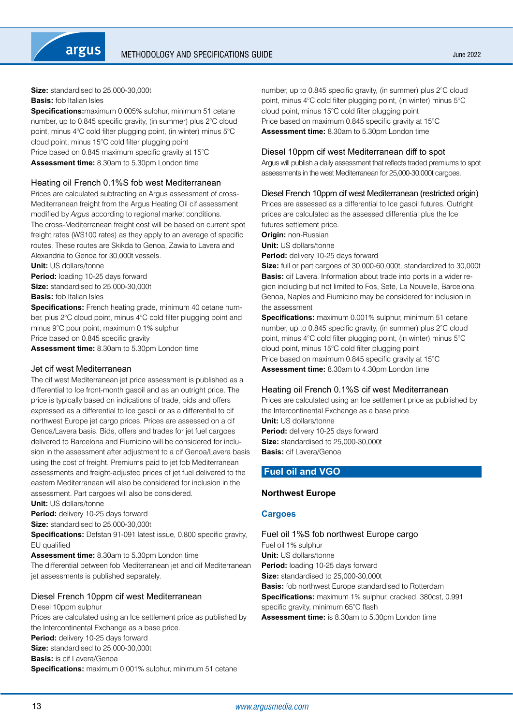<span id="page-12-0"></span>

June 2022

**Size:** standardised to 25,000-30,000t **Basis:** fob Italian Isles

**Specifications:**maximum 0.005% sulphur, minimum 51 cetane number, up to 0.845 specific gravity, (in summer) plus 2°C cloud point, minus 4°C cold filter plugging point, (in winter) minus 5°C cloud point, minus 15°C cold filter plugging point Price based on 0.845 maximum specific gravity at 15°C **Assessment time:** 8.30am to 5.30pm London time

# Heating oil French 0.1%S fob west Mediterranean

Prices are calculated subtracting an Argus assessment of cross-Mediterranean freight from the Argus Heating Oil cif assessment modified by *Argus* according to regional market conditions. The cross-Mediterranean freight cost will be based on current spot freight rates (WS100 rates) as they apply to an average of specific routes. These routes are Skikda to Genoa, Zawia to Lavera and Alexandria to Genoa for 30,000t vessels.

**Unit: US dollars/tonne** 

Period: loading 10-25 days forward **Size:** standardised to 25,000-30,000t **Basis:** fob Italian Isles

**Specifications:** French heating grade, minimum 40 cetane number, plus 2°C cloud point, minus 4°C cold filter plugging point and minus 9°C pour point, maximum 0.1% sulphur

Price based on 0.845 specific gravity

**Assessment time:** 8.30am to 5.30pm London time

## Jet cif west Mediterranean

The cif west Mediterranean jet price assessment is published as a differential to Ice front-month gasoil and as an outright price. The price is typically based on indications of trade, bids and offers expressed as a differential to Ice gasoil or as a differential to cif northwest Europe jet cargo prices. Prices are assessed on a cif Genoa/Lavera basis. Bids, offers and trades for jet fuel cargoes delivered to Barcelona and Fiumicino will be considered for inclusion in the assessment after adjustment to a cif Genoa/Lavera basis using the cost of freight. Premiums paid to jet fob Mediterranean assessments and freight-adjusted prices of jet fuel delivered to the eastern Mediterranean will also be considered for inclusion in the assessment. Part cargoes will also be considered.

**Unit:** US dollars/tonne

Period: delivery 10-25 days forward

**Size:** standardised to 25,000-30,000t

**Specifications:** Defstan 91-091 latest issue, 0.800 specific gravity, EU qualified

**Assessment time:** 8.30am to 5.30pm London time The differential between fob Mediterranean jet and cif Mediterranean jet assessments is published separately.

## Diesel French 10ppm cif west Mediterranean

Diesel 10ppm sulphur Prices are calculated using an Ice settlement price as published by the Intercontinental Exchange as a base price. **Period:** delivery 10-25 days forward **Size:** standardised to 25,000-30,000t **Basis:** is cif Lavera/Genoa **Specifications:** maximum 0.001% sulphur, minimum 51 cetane

number, up to 0.845 specific gravity, (in summer) plus 2°C cloud point, minus 4°C cold filter plugging point, (in winter) minus 5°C cloud point, minus 15°C cold filter plugging point Price based on maximum 0.845 specific gravity at 15°C **Assessment time:** 8.30am to 5.30pm London time

## Diesel 10ppm cif west Mediterranean diff to spot

Argus will publish a daily assessment that reflects traded premiums to spot assessments in the west Mediterranean for 25,000-30,000t cargoes.

## Diesel French 10ppm cif west Mediterranean (restricted origin)

Prices are assessed as a differential to Ice gasoil futures. Outright prices are calculated as the assessed differential plus the Ice futures settlement price.

**Origin:** non-Russian

**Unit:** US dollars/tonne

**Period:** delivery 10-25 days forward

**Size:** full or part cargoes of 30,000-60,000t, standardized to 30,000t **Basis:** cif Lavera. Information about trade into ports in a wider region including but not limited to Fos, Sete, La Nouvelle, Barcelona, Genoa, Naples and Fiumicino may be considered for inclusion in the assessment

**Specifications:** maximum 0.001% sulphur, minimum 51 cetane number, up to 0.845 specific gravity, (in summer) plus 2°C cloud point, minus 4°C cold filter plugging point, (in winter) minus 5°C cloud point, minus 15°C cold filter plugging point Price based on maximum 0.845 specific gravity at 15°C **Assessment time:** 8.30am to 4.30pm London time

## Heating oil French 0.1%S cif west Mediterranean

Prices are calculated using an Ice settlement price as published by the Intercontinental Exchange as a base price. **Unit:** US dollars/tonne **Period:** delivery 10-25 days forward **Size:** standardised to 25,000-30,000t **Basis:** cif Lavera/Genoa

# **Fuel oil and VGO**

## **Northwest Europe**

## **Cargoes**

Fuel oil 1%S fob northwest Europe cargo Fuel oil 1% sulphur **Unit:** US dollars/tonne **Period:** loading 10-25 days forward **Size:** standardised to 25,000-30,000t **Basis:** fob northwest Europe standardised to Rotterdam **Specifications:** maximum 1% sulphur, cracked, 380cst, 0.991 specific gravity, minimum 65°C flash **Assessment time:** is 8.30am to 5.30pm London time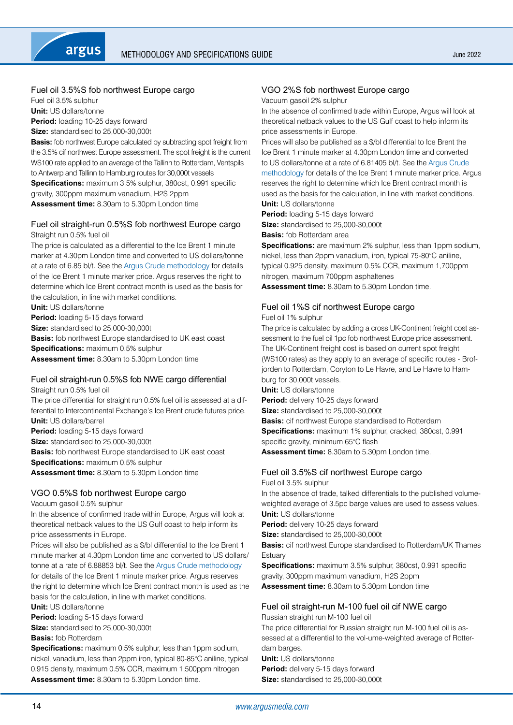# Fuel oil 3.5%S fob northwest Europe cargo

Fuel oil 3.5% sulphur

**Unit:** US dollars/tonne **Period:** loading 10-25 days forward

**Size:** standardised to 25,000-30,000t

**Basis:** fob northwest Europe calculated by subtracting spot freight from the 3.5% cif northwest Europe assessment. The spot freight is the current WS100 rate applied to an average of the Tallinn to Rotterdam, Ventspils to Antwerp and Tallinn to Hamburg routes for 30,000t vessels **Specifications:** maximum 3.5% sulphur, 380cst, 0.991 specific gravity, 300ppm maximum vanadium, H2S 2ppm **Assessment time:** 8.30am to 5.30pm London time

## Fuel oil straight-run 0.5%S fob northwest Europe cargo Straight run 0.5% fuel oil

The price is calculated as a differential to the Ice Brent 1 minute marker at 4.30pm London time and converted to US dollars/tonne at a rate of 6.85 bl/t. See the [Argus Crude methodology](https://www.argusmedia.com/-/media/Files/methodology/argus-crude.ashx) for details of the Ice Brent 1 minute marker price. Argus reserves the right to determine which Ice Brent contract month is used as the basis for the calculation, in line with market conditions.

**Unit:** US dollars/tonne **Period:** loading 5-15 days forward **Size:** standardised to 25,000-30,000t **Basis:** fob northwest Europe standardised to UK east coast

**Specifications:** maximum 0.5% sulphur

**Assessment time:** 8.30am to 5.30pm London time

# Fuel oil straight-run 0.5%S fob NWE cargo differential

Straight run 0.5% fuel oil The price differential for straight run 0.5% fuel oil is assessed at a differential to Intercontinental Exchange's Ice Brent crude futures price. **Unit:** US dollars/barrel **Period:** loading 5-15 days forward **Size:** standardised to 25,000-30,000t **Basis:** fob northwest Europe standardised to UK east coast **Specifications:** maximum 0.5% sulphur **Assessment time:** 8.30am to 5.30pm London time

# VGO 0.5%S fob northwest Europe cargo

Vacuum gasoil 0.5% sulphur

In the absence of confirmed trade within Europe, Argus will look at theoretical netback values to the US Gulf coast to help inform its price assessments in Europe.

Prices will also be published as a \$/bl differential to the Ice Brent 1 minute marker at 4.30pm London time and converted to US dollars/ tonne at a rate of 6.88853 bl/t. See the [Argus Crude methodology](https://www.argusmedia.com/-/media/Files/methodology/argus-crude.ashx) for details of the Ice Brent 1 minute marker price. Argus reserves the right to determine which Ice Brent contract month is used as the basis for the calculation, in line with market conditions.

**Unit:** US dollars/tonne

**Period:** loading 5-15 days forward **Size:** standardised to 25,000-30,000t

**Basis:** fob Rotterdam

**Specifications:** maximum 0.5% sulphur, less than 1ppm sodium, nickel, vanadium, less than 2ppm iron, typical 80-85°C aniline, typical 0.915 density, maximum 0.5% CCR, maximum 1,500ppm nitrogen **Assessment time:** 8.30am to 5.30pm London time.

# VGO 2%S fob northwest Europe cargo

Vacuum gasoil 2% sulphur

In the absence of confirmed trade within Europe, Argus will look at theoretical netback values to the US Gulf coast to help inform its price assessments in Europe.

Prices will also be published as a \$/bl differential to Ice Brent the Ice Brent 1 minute marker at 4.30pm London time and converted to US dollars/tonne at a rate of 6.81405 bl/t. See the [Argus Crude](https://www.argusmedia.com/-/media/Files/methodology/argus-crude.ashx)  [methodology](https://www.argusmedia.com/-/media/Files/methodology/argus-crude.ashx) for details of the Ice Brent 1 minute marker price. Argus reserves the right to determine which Ice Brent contract month is used as the basis for the calculation, in line with market conditions. **Unit:** US dollars/tonne

**Period:** loading 5-15 days forward **Size:** standardised to 25,000-30,000t **Basis:** fob Rotterdam area

**Specifications:** are maximum 2% sulphur, less than 1ppm sodium, nickel, less than 2ppm vanadium, iron, typical 75-80°C aniline, typical 0.925 density, maximum 0.5% CCR, maximum 1,700ppm nitrogen, maximum 700ppm asphaltenes **Assessment time:** 8.30am to 5.30pm London time.

# Fuel oil 1%S cif northwest Europe cargo

Fuel oil 1% sulphur

The price is calculated by adding a cross UK-Continent freight cost assessment to the fuel oil 1pc fob northwest Europe price assessment. The UK-Continent freight cost is based on current spot freight (WS100 rates) as they apply to an average of specific routes - Brofjorden to Rotterdam, Coryton to Le Havre, and Le Havre to Hamburg for 30,000t vessels.

**Unit:** US dollars/tonne

**Period:** delivery 10-25 days forward

**Size:** standardised to 25,000-30,000t

**Basis:** cif northwest Europe standardised to Rotterdam **Specifications:** maximum 1% sulphur, cracked, 380cst, 0.991 specific gravity, minimum 65°C flash

**Assessment time:** 8.30am to 5.30pm London time.

# Fuel oil 3.5%S cif northwest Europe cargo

Fuel oil 3.5% sulphur

In the absence of trade, talked differentials to the published volumeweighted average of 3.5pc barge values are used to assess values. **Unit:** US dollars/tonne

**Period:** delivery 10-25 days forward

**Size:** standardised to 25,000-30,000t

**Basis:** cif northwest Europe standardised to Rotterdam/UK Thames **Estuary** 

**Specifications:** maximum 3.5% sulphur, 380cst, 0.991 specific gravity, 300ppm maximum vanadium, H2S 2ppm **Assessment time:** 8.30am to 5.30pm London time

# Fuel oil straight-run M-100 fuel oil cif NWE cargo

Russian straight run M-100 fuel oil

The price differential for Russian straight run M-100 fuel oil is assessed at a differential to the vol-ume-weighted average of Rotterdam barges.

**Unit:** US dollars/tonne **Period:** delivery 5-15 days forward

**Size:** standardised to 25,000-30,000t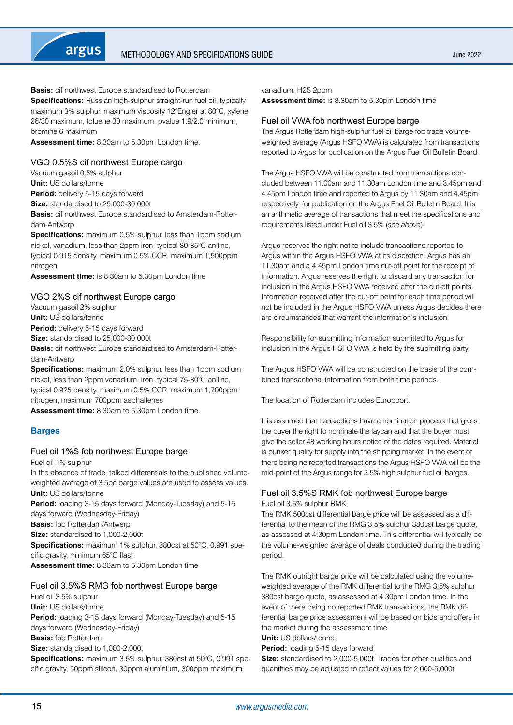<span id="page-14-0"></span>

**Basis:** cif northwest Europe standardised to Rotterdam **Specifications:** Russian high-sulphur straight-run fuel oil, typically maximum 3% sulphur, maximum viscosity 12°Engler at 80°C, xylene 26/30 maximum, toluene 30 maximum, pvalue 1.9/2.0 minimum, bromine 6 maximum

**Assessment time:** 8.30am to 5.30pm London time.

## VGO 0.5%S cif northwest Europe cargo

Vacuum gasoil 0.5% sulphur

**Unit:** US dollars/tonne

**Period:** delivery 5-15 days forward

**Size:** standardised to 25,000-30,000t

**Basis:** cif northwest Europe standardised to Amsterdam-Rotterdam-Antwerp

**Specifications:** maximum 0.5% sulphur, less than 1ppm sodium, nickel, vanadium, less than 2ppm iron, typical 80-85°C aniline, typical 0.915 density, maximum 0.5% CCR, maximum 1,500ppm nitrogen

**Assessment time:** is 8.30am to 5.30pm London time

## VGO 2%S cif northwest Europe cargo

Vacuum gasoil 2% sulphur

**Unit:** US dollars/tonne

**Period:** delivery 5-15 days forward

**Size:** standardised to 25,000-30,000t

**Basis:** cif northwest Europe standardised to Amsterdam-Rotterdam-Antwerp

**Specifications:** maximum 2.0% sulphur, less than 1ppm sodium, nickel, less than 2ppm vanadium, iron, typical 75-80°C aniline, typical 0.925 density, maximum 0.5% CCR, maximum 1,700ppm nitrogen, maximum 700ppm asphaltenes

**Assessment time:** 8.30am to 5.30pm London time.

# **Barges**

## Fuel oil 1%S fob northwest Europe barge

Fuel oil 1% sulphur

In the absence of trade, talked differentials to the published volumeweighted average of 3.5pc barge values are used to assess values. **Unit:** US dollars/tonne

**Period:** loading 3-15 days forward (Monday-Tuesday) and 5-15 days forward (Wednesday-Friday)

**Basis:** fob Rotterdam/Antwerp

**Size:** standardised to 1,000-2,000t

**Specifications:** maximum 1% sulphur, 380cst at 50°C, 0.991 specific gravity, minimum 65°C flash **Assessment time:** 8.30am to 5.30pm London time

## Fuel oil 3.5%S RMG fob northwest Europe barge

Fuel oil 3.5% sulphur **Unit:** US dollars/tonne **Period:** loading 3-15 days forward (Monday-Tuesday) and 5-15 days forward (Wednesday-Friday) **Basis:** fob Rotterdam **Size:** standardised to 1,000-2,000t **Specifications:** maximum 3.5% sulphur, 380cst at 50°C, 0.991 specific gravity, 50ppm silicon, 30ppm aluminium, 300ppm maximum

vanadium, H2S 2ppm

**Assessment time:** is 8.30am to 5.30pm London time

## Fuel oil VWA fob northwest Europe barge

The Argus Rotterdam high-sulphur fuel oil barge fob trade volumeweighted average (Argus HSFO VWA) is calculated from transactions reported to *Argus* for publication on the Argus Fuel Oil Bulletin Board.

The Argus HSFO VWA will be constructed from transactions concluded between 11.00am and 11.30am London time and 3.45pm and 4.45pm London time and reported to Argus by 11.30am and 4.45pm, respectively, for publication on the Argus Fuel Oil Bulletin Board. It is an arithmetic average of transactions that meet the specifications and requirements listed under Fuel oil 3.5% (*see above*).

Argus reserves the right not to include transactions reported to Argus within the Argus HSFO VWA at its discretion. Argus has an 11.30am and a 4.45pm London time cut-off point for the receipt of information. Argus reserves the right to discard any transaction for inclusion in the Argus HSFO VWA received after the cut-off points. Information received after the cut-off point for each time period will not be included in the Argus HSFO VWA unless Argus decides there are circumstances that warrant the information's inclusion.

Responsibility for submitting information submitted to Argus for inclusion in the Argus HSFO VWA is held by the submitting party.

The Argus HSFO VWA will be constructed on the basis of the combined transactional information from both time periods.

The location of Rotterdam includes Europoort.

It is assumed that transactions have a nomination process that gives the buyer the right to nominate the laycan and that the buyer must give the seller 48 working hours notice of the dates required. Material is bunker quality for supply into the shipping market. In the event of there being no reported transactions the Argus HSFO VWA will be the mid-point of the Argus range for 3.5% high sulphur fuel oil barges.

# Fuel oil 3.5%S RMK fob northwest Europe barge

Fuel oil 3.5% sulphur RMK

The RMK 500cst differential barge price will be assessed as a differential to the mean of the RMG 3.5% sulphur 380cst barge quote, as assessed at 4.30pm London time. This differential will typically be the volume-weighted average of deals conducted during the trading period.

The RMK outright barge price will be calculated using the volumeweighted average of the RMK differential to the RMG 3.5% sulphur 380cst barge quote, as assessed at 4.30pm London time. In the event of there being no reported RMK transactions, the RMK differential barge price assessment will be based on bids and offers in the market during the assessment time.

# **Unit:** US dollars/tonne

**Period:** loading 5-15 days forward

**Size:** standardised to 2,000-5,000t. Trades for other qualities and quantities may be adjusted to reflect values for 2,000-5,000t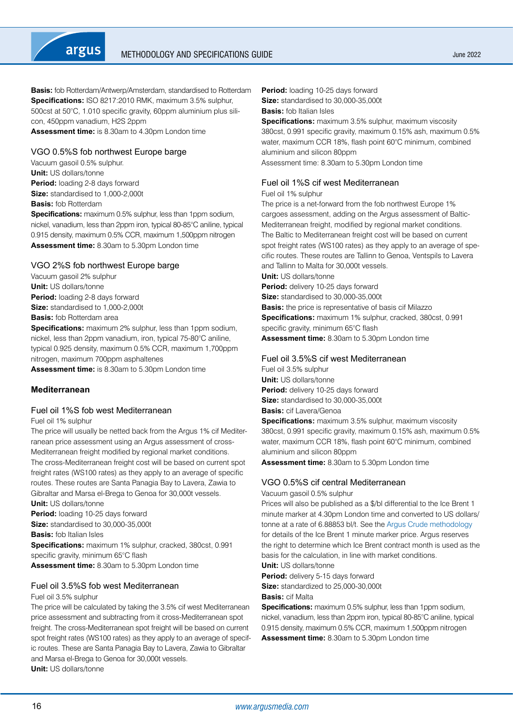<span id="page-15-0"></span>

**Basis:** fob Rotterdam/Antwerp/Amsterdam, standardised to Rotterdam **Specifications:** ISO 8217:2010 RMK, maximum 3.5% sulphur, 500cst at 50°C, 1.010 specific gravity, 60ppm aluminium plus silicon, 450ppm vanadium, H2S 2ppm **Assessment time:** is 8.30am to 4.30pm London time

## VGO 0.5%S fob northwest Europe barge

Vacuum gasoil 0.5% sulphur. **Unit:** US dollars/tonne **Period:** loading 2-8 days forward **Size:** standardised to 1,000-2,000t **Basis:** fob Rotterdam

**Specifications:** maximum 0.5% sulphur, less than 1ppm sodium, nickel, vanadium, less than 2ppm iron, typical 80-85°C aniline, typical 0.915 density, maximum 0.5% CCR, maximum 1,500ppm nitrogen **Assessment time:** 8.30am to 5.30pm London time

## VGO 2%S fob northwest Europe barge

Vacuum gasoil 2% sulphur **Unit: US dollars/tonne Period:** loading 2-8 days forward **Size:** standardised to 1,000-2,000t **Basis:** fob Rotterdam area **Specifications:** maximum 2% sulphur, less than 1ppm sodium, nickel, less than 2ppm vanadium, iron, typical 75-80°C aniline,

typical 0.925 density, maximum 0.5% CCR, maximum 1,700ppm nitrogen, maximum 700ppm asphaltenes

**Assessment time:** is 8.30am to 5.30pm London time

# **Mediterranean**

# Fuel oil 1%S fob west Mediterranean

Fuel oil 1% sulphur

The price will usually be netted back from the Argus 1% cif Mediterranean price assessment using an Argus assessment of cross-Mediterranean freight modified by regional market conditions. The cross-Mediterranean freight cost will be based on current spot freight rates (WS100 rates) as they apply to an average of specific routes. These routes are Santa Panagia Bay to Lavera, Zawia to Gibraltar and Marsa el-Brega to Genoa for 30,000t vessels.

**Unit:** US dollars/tonne

**Period:** loading 10-25 days forward

**Size:** standardised to 30,000-35,000t

**Basis:** fob Italian Isles

**Specifications:** maximum 1% sulphur, cracked, 380cst, 0.991 specific gravity, minimum 65°C flash

**Assessment time:** 8.30am to 5.30pm London time

# Fuel oil 3.5%S fob west Mediterranean

#### Fuel oil 3.5% sulphur

The price will be calculated by taking the 3.5% cif west Mediterranean price assessment and subtracting from it cross-Mediterranean spot freight. The cross-Mediterranean spot freight will be based on current spot freight rates (WS100 rates) as they apply to an average of specific routes. These are Santa Panagia Bay to Lavera, Zawia to Gibraltar and Marsa el-Brega to Genoa for 30,000t vessels. **Unit:** US dollars/tonne

**Period:** loading 10-25 days forward **Size:** standardised to 30,000-35,000t

**Basis:** fob Italian Isles

**Specifications:** maximum 3.5% sulphur, maximum viscosity 380cst, 0.991 specific gravity, maximum 0.15% ash, maximum 0.5% water, maximum CCR 18%, flash point 60°C minimum, combined aluminium and silicon 80ppm

Assessment time: 8.30am to 5.30pm London time

## Fuel oil 1%S cif west Mediterranean

#### Fuel oil 1% sulphur

The price is a net-forward from the fob northwest Europe 1% cargoes assessment, adding on the Argus assessment of Baltic-Mediterranean freight, modified by regional market conditions. The Baltic to Mediterranean freight cost will be based on current spot freight rates (WS100 rates) as they apply to an average of specific routes. These routes are Tallinn to Genoa, Ventspils to Lavera and Tallinn to Malta for 30,000t vessels. **Unit:** US dollars/tonne **Period:** delivery 10-25 days forward **Size:** standardised to 30,000-35,000t **Basis:** the price is representative of basis cif Milazzo **Specifications:** maximum 1% sulphur, cracked, 380cst, 0.991 specific gravity, minimum 65°C flash

**Assessment time:** 8.30am to 5.30pm London time

## Fuel oil 3.5%S cif west Mediterranean

Fuel oil 3.5% sulphur **Unit:** US dollars/tonne **Period:** delivery 10-25 days forward **Size:** standardised to 30,000-35,000t **Basis:** cif Lavera/Genoa

**Specifications:** maximum 3.5% sulphur, maximum viscosity 380cst, 0.991 specific gravity, maximum 0.15% ash, maximum 0.5% water, maximum CCR 18%, flash point 60°C minimum, combined aluminium and silicon 80ppm

**Assessment time:** 8.30am to 5.30pm London time

## VGO 0.5%S cif central Mediterranean

Vacuum gasoil 0.5% sulphur

Prices will also be published as a \$/bl differential to the Ice Brent 1 minute marker at 4.30pm London time and converted to US dollars/ tonne at a rate of 6.88853 bl/t. See the [Argus Crude methodology](https://www.argusmedia.com/-/media/Files/methodology/argus-crude.ashx) for details of the Ice Brent 1 minute marker price. Argus reserves the right to determine which Ice Brent contract month is used as the basis for the calculation, in line with market conditions.

**Unit:** US dollars/tonne

**Period:** delivery 5-15 days forward **Size:** standardized to 25,000-30,000t

**Basis:** cif Malta

**Specifications:** maximum 0.5% sulphur, less than 1ppm sodium, nickel, vanadium, less than 2ppm iron, typical 80-85°C aniline, typical 0.915 density, maximum 0.5% CCR, maximum 1,500ppm nitrogen **Assessment time:** 8.30am to 5.30pm London time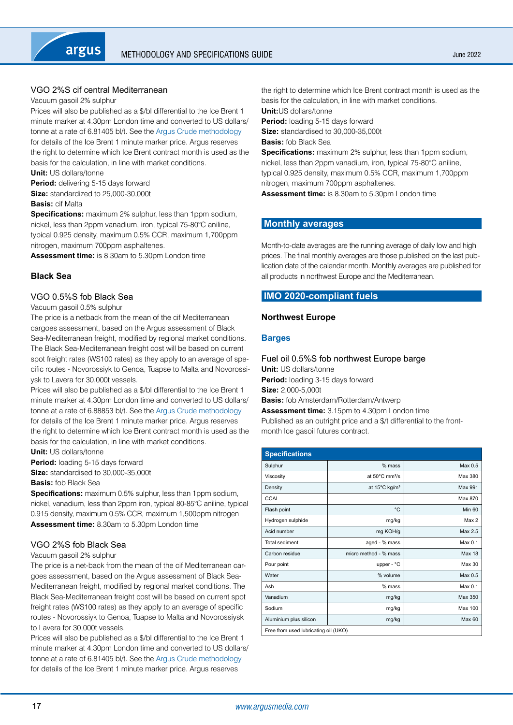# <span id="page-16-0"></span>VGO 2%S cif central Mediterranean

Vacuum gasoil 2% sulphur

Prices will also be published as a \$/bl differential to the Ice Brent 1 minute marker at 4.30pm London time and converted to US dollars/ tonne at a rate of 6.81405 bl/t. See the [Argus Crude methodology](https://www.argusmedia.com/-/media/Files/methodology/argus-crude.ashx) for details of the Ice Brent 1 minute marker price. Argus reserves the right to determine which Ice Brent contract month is used as the basis for the calculation, in line with market conditions.

**Unit:** US dollars/tonne

**Period:** delivering 5-15 days forward **Size:** standardized to 25,000-30,000t

**Basis:** cif Malta

**Specifications:** maximum 2% sulphur, less than 1ppm sodium, nickel, less than 2ppm vanadium, iron, typical 75-80°C aniline, typical 0.925 density, maximum 0.5% CCR, maximum 1,700ppm nitrogen, maximum 700ppm asphaltenes.

**Assessment time:** is 8.30am to 5.30pm London time

## **Black Sea**

## VGO 0.5%S fob Black Sea

Vacuum gasoil 0.5% sulphur

The price is a netback from the mean of the cif Mediterranean cargoes assessment, based on the Argus assessment of Black Sea-Mediterranean freight, modified by regional market conditions. The Black Sea-Mediterranean freight cost will be based on current spot freight rates (WS100 rates) as they apply to an average of specific routes - Novorossiyk to Genoa, Tuapse to Malta and Novorossiysk to Lavera for 30,000t vessels.

Prices will also be published as a \$/bl differential to the Ice Brent 1 minute marker at 4.30pm London time and converted to US dollars/ tonne at a rate of 6.88853 bl/t. See the [Argus Crude methodology](http://www.argusmedia.com/~/media/files/pdfs/meth/argus_crude.pdf?la=en) for details of the Ice Brent 1 minute marker price. Argus reserves the right to determine which Ice Brent contract month is used as the basis for the calculation, in line with market conditions.

**Unit:** US dollars/tonne

**Period:** loading 5-15 days forward

**Size:** standardised to 30,000-35,000t

**Basis:** fob Black Sea

**Specifications:** maximum 0.5% sulphur, less than 1ppm sodium, nickel, vanadium, less than 2ppm iron, typical 80-85°C aniline, typical 0.915 density, maximum 0.5% CCR, maximum 1,500ppm nitrogen **Assessment time:** 8.30am to 5.30pm London time

#### VGO 2%S fob Black Sea

#### Vacuum gasoil 2% sulphur

The price is a net-back from the mean of the cif Mediterranean cargoes assessment, based on the Argus assessment of Black Sea-Mediterranean freight, modified by regional market conditions. The Black Sea-Mediterranean freight cost will be based on current spot freight rates (WS100 rates) as they apply to an average of specific routes - Novorossiyk to Genoa, Tuapse to Malta and Novorossiysk to Lavera for 30,000t vessels.

Prices will also be published as a \$/bl differential to the Ice Brent 1 minute marker at 4.30pm London time and converted to US dollars/ tonne at a rate of 6.81405 bl/t. See the [Argus Crude methodology](https://www.argusmedia.com/-/media/Files/methodology/argus-crude.ashx) for details of the Ice Brent 1 minute marker price. Argus reserves

the right to determine which Ice Brent contract month is used as the basis for the calculation, in line with market conditions. **Unit:**US dollars/tonne

**Period:** loading 5-15 days forward

**Size:** standardised to 30,000-35,000t

**Basis:** fob Black Sea

**Specifications:** maximum 2% sulphur, less than 1ppm sodium, nickel, less than 2ppm vanadium, iron, typical 75-80°C aniline, typical 0.925 density, maximum 0.5% CCR, maximum 1,700ppm nitrogen, maximum 700ppm asphaltenes.

**Assessment time:** is 8.30am to 5.30pm London time

# **Monthly averages**

Month-to-date averages are the running average of daily low and high prices. The final monthly averages are those published on the last publication date of the calendar month. Monthly averages are published for all products in northwest Europe and the Mediterranean.

# **IMO 2020-compliant fuels**

## **Northwest Europe**

## **Barges**

Fuel oil 0.5%S fob northwest Europe barge **Unit:** US dollars/tonne **Period:** loading 3-15 days forward **Size:** 2,000-5,000t **Basis:** fob Amsterdam/Rotterdam/Antwerp **Assessment time:** 3.15pm to 4.30pm London time Published as an outright price and a \$/t differential to the front-

| month Ice gasoil futures contract. |  |
|------------------------------------|--|

| <b>Specifications</b>                |                            |                    |
|--------------------------------------|----------------------------|--------------------|
| Sulphur                              | $%$ mass                   | Max <sub>0.5</sub> |
| Viscosity                            | at 50°C mm <sup>2</sup> /s | Max 380            |
| Density                              | at 15°C kg/m <sup>3</sup>  | Max 991            |
| <b>CCAI</b>                          |                            | Max 870            |
| Flash point                          | °C                         | <b>Min 60</b>      |
| Hydrogen sulphide                    | mg/kg                      | Max 2              |
| Acid number                          | mg KOH/g                   | Max 2.5            |
| <b>Total sediment</b>                | aged - % mass              | Max <sub>0.1</sub> |
| Carbon residue                       | micro method - % mass      | <b>Max 18</b>      |
| Pour point                           | upper - °C                 | Max 30             |
| Water                                | % volume                   | Max <sub>0.5</sub> |
| Ash                                  | % mass                     | Max <sub>0.1</sub> |
| Vanadium                             | mg/kg                      | Max 350            |
| Sodium                               | mg/kg                      | Max 100            |
| Aluminium plus silicon               | mg/kg                      | Max 60             |
| Free from used lubricating oil (UKO) |                            |                    |